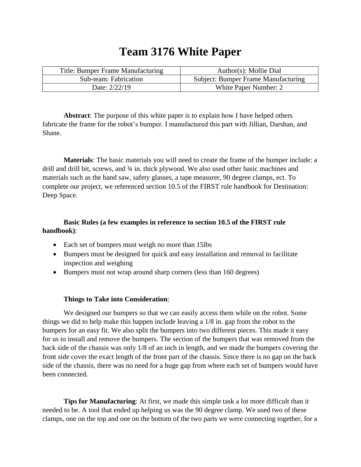## **Team 3176 White Paper**

| Title: Bumper Frame Manufacturing | Author(s): Mollie Dial                     |
|-----------------------------------|--------------------------------------------|
| Sub-team: Fabrication             | <b>Subject: Bumper Frame Manufacturing</b> |
| Date: 2/22/19                     | White Paper Number: 2                      |

**Abstract**: The purpose of this white paper is to explain how I have helped others fabricate the frame for the robot's bumper. I manufactured this part with Jillian, Darshan, and Shane.

**Materials**: The basic materials you will need to create the frame of the bumper include: a drill and drill bit, screws, and ¾ in. thick plywood. We also used other basic machines and materials such as the band saw, safety glasses, a tape measurer, 90 degree clamps, ect. To complete our project, we referenced section 10.5 of the FIRST rule handbook for Destination: Deep Space.

## **Basic Rules (a few examples in reference to section 10.5 of the FIRST rule handbook)**:

- Each set of bumpers must weigh no more than 15lbs
- Bumpers must be designed for quick and easy installation and removal to facilitate inspection and weighing
- Bumpers must not wrap around sharp corners (less than 160 degrees)

## **Things to Take into Consideration**:

We designed our bumpers so that we can easily access them while on the robot. Some things we did to help make this happen include leaving a 1/8 in. gap from the robot to the bumpers for an easy fit. We also split the bumpers into two different pieces. This made it easy for us to install and remove the bumpers. The section of the bumpers that was removed from the back side of the chassis was only 1/8 of an inch in length, and we made the bumpers covering the front side cover the exact length of the front part of the chassis. Since there is no gap on the back side of the chassis, there was no need for a huge gap from where each set of bumpers would have been connected.

**Tips for Manufacturing**: At first, we made this simple task a lot more difficult than it needed to be. A tool that ended up helping us was the 90 degree clamp. We used two of these clamps, one on the top and one on the bottom of the two parts we were connecting together, for a